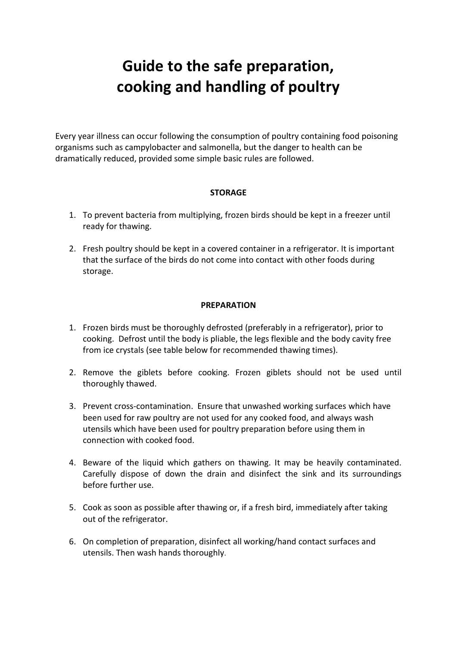# **Guide to the safe preparation, cooking and handling of poultry**

Every year illness can occur following the consumption of poultry containing food poisoning organisms such as campylobacter and salmonella, but the danger to health can be dramatically reduced, provided some simple basic rules are followed.

#### **STORAGE**

- 1. To prevent bacteria from multiplying, frozen birds should be kept in a freezer until ready for thawing.
- 2. Fresh poultry should be kept in a covered container in a refrigerator. It is important that the surface of the birds do not come into contact with other foods during storage.

### **PREPARATION**

- 1. Frozen birds must be thoroughly defrosted (preferably in a refrigerator), prior to cooking. Defrost until the body is pliable, the legs flexible and the body cavity free from ice crystals (see table below for recommended thawing times).
- 2. Remove the giblets before cooking. Frozen giblets should not be used until thoroughly thawed.
- 3. Prevent cross-contamination. Ensure that unwashed working surfaces which have been used for raw poultry are not used for any cooked food, and always wash utensils which have been used for poultry preparation before using them in connection with cooked food.
- 4. Beware of the liquid which gathers on thawing. It may be heavily contaminated. Carefully dispose of down the drain and disinfect the sink and its surroundings before further use.
- 5. Cook as soon as possible after thawing or, if a fresh bird, immediately after taking out of the refrigerator.
- 6. On completion of preparation, disinfect all working/hand contact surfaces and utensils. Then wash hands thoroughly.